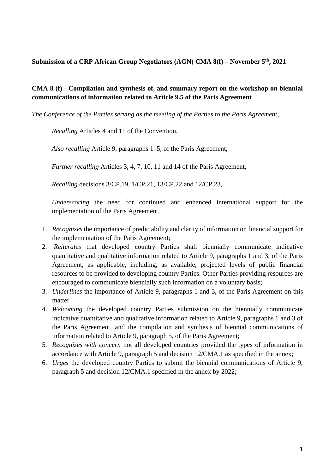**Submission of a CRP African Group Negotiators (AGN) CMA 8(f) – November 5th, 2021** 

## **CMA 8 (f) - Compilation and synthesis of, and summary report on the workshop on biennial communications of information related to Article 9.5 of the Paris Agreement**

*The Conference of the Parties serving as the meeting of the Parties to the Paris Agreement*,

*Recalling* Articles 4 and 11 of the Convention,

*Also recalling* Article 9, paragraphs 1–5, of the Paris Agreement,

*Further recalling* Articles 3, 4, 7, 10, 11 and 14 of the Paris Agreement,

*Recalling* decisions 3/CP.19, 1/CP.21, 13/CP.22 and 12/CP.23,

*Underscoring* the need for continued and enhanced international support for the implementation of the Paris Agreement,

- 1. *Recognizes* the importance of predictability and clarity of information on financial support for the implementation of the Paris Agreement;
- 2. *Reiterates* that developed country Parties shall biennially communicate indicative quantitative and qualitative information related to Article 9, paragraphs 1 and 3, of the Paris Agreement, as applicable, including, as available, projected levels of public financial resources to be provided to developing country Parties. Other Parties providing resources are encouraged to communicate biennially such information on a voluntary basis;
- 3. *Underlines* the importance of Article 9, paragraphs 1 and 3, of the Paris Agreement on this matter
- 4. *Welcoming* the developed country Parties submission on the biennially communicate indicative quantitative and qualitative information related to Article 9, paragraphs 1 and 3 of the Paris Agreement, and the compilation and synthesis of biennial communications of information related to Article 9, paragraph 5, of the Paris Agreement;
- 5. *Recognizes with concern* not all developed countries provided the types of information in accordance with Article 9, paragraph 5 and decision 12/CMA.1 as specified in the annex;
- 6. *Urges* the developed country Parties to submit the biennial communications of Article 9, paragraph 5 and decision 12/CMA.1 specified in the annex by 2022;